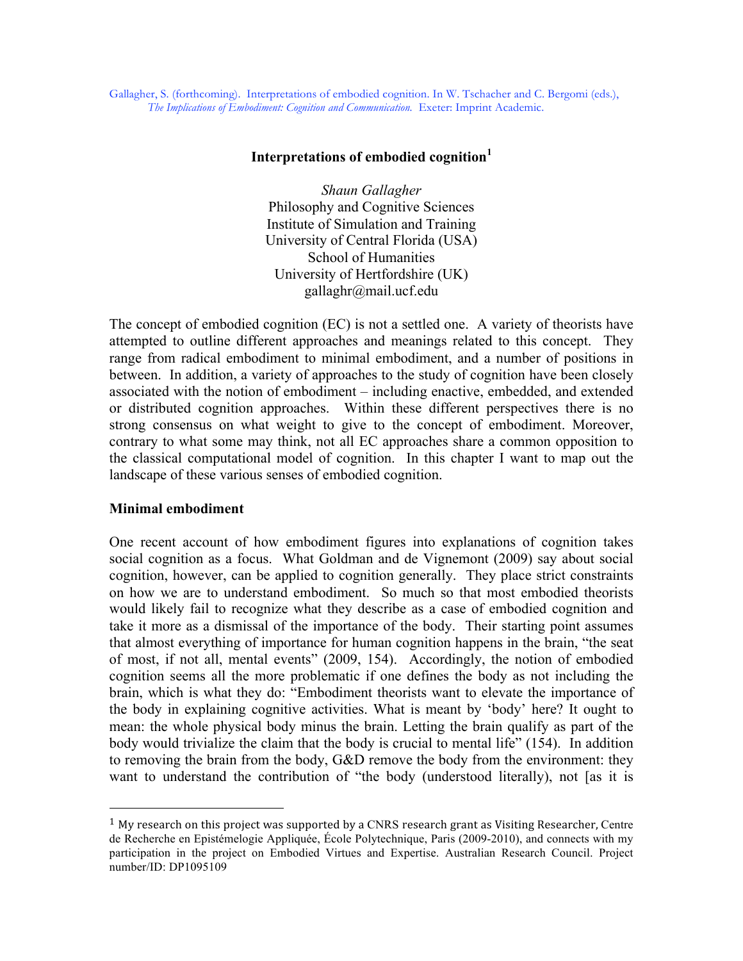Gallagher, S. (forthcoming). Interpretations of embodied cognition. In W. Tschacher and C. Bergomi (eds.), *The Implications of Embodiment: Cognition and Communication.* Exeter: Imprint Academic.

### **Interpretations of embodied cognition<sup>1</sup>**

*Shaun Gallagher* Philosophy and Cognitive Sciences Institute of Simulation and Training University of Central Florida (USA) School of Humanities University of Hertfordshire (UK) gallaghr@mail.ucf.edu

The concept of embodied cognition (EC) is not a settled one. A variety of theorists have attempted to outline different approaches and meanings related to this concept. They range from radical embodiment to minimal embodiment, and a number of positions in between. In addition, a variety of approaches to the study of cognition have been closely associated with the notion of embodiment – including enactive, embedded, and extended or distributed cognition approaches. Within these different perspectives there is no strong consensus on what weight to give to the concept of embodiment. Moreover, contrary to what some may think, not all EC approaches share a common opposition to the classical computational model of cognition. In this chapter I want to map out the landscape of these various senses of embodied cognition.

# **Minimal embodiment**

 $\overline{a}$ 

One recent account of how embodiment figures into explanations of cognition takes social cognition as a focus. What Goldman and de Vignemont (2009) say about social cognition, however, can be applied to cognition generally. They place strict constraints on how we are to understand embodiment. So much so that most embodied theorists would likely fail to recognize what they describe as a case of embodied cognition and take it more as a dismissal of the importance of the body. Their starting point assumes that almost everything of importance for human cognition happens in the brain, "the seat of most, if not all, mental events" (2009, 154). Accordingly, the notion of embodied cognition seems all the more problematic if one defines the body as not including the brain, which is what they do: "Embodiment theorists want to elevate the importance of the body in explaining cognitive activities. What is meant by 'body' here? It ought to mean: the whole physical body minus the brain. Letting the brain qualify as part of the body would trivialize the claim that the body is crucial to mental life" (154). In addition to removing the brain from the body, G&D remove the body from the environment: they want to understand the contribution of "the body (understood literally), not [as it is

<sup>&</sup>lt;sup>1</sup> My research on this project was supported by a CNRS research grant as Visiting Researcher, Centre de Recherche en Epistémelogie Appliquée, École Polytechnique, Paris (2009-2010), and connects with my participation in the project on Embodied Virtues and Expertise. Australian Research Council. Project number/ID: DP1095109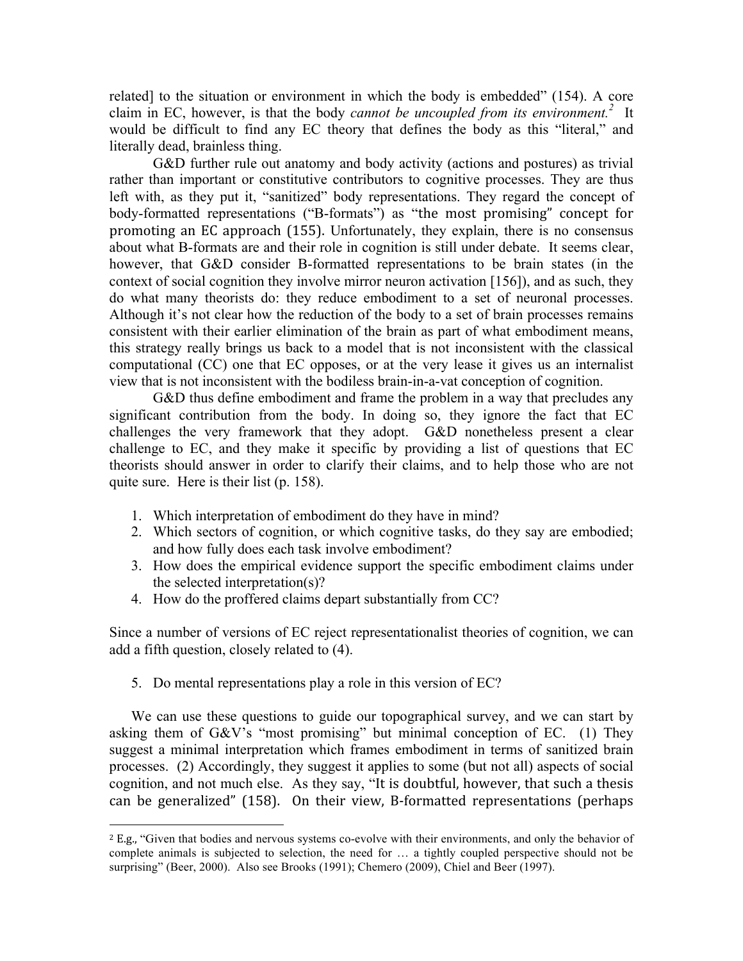related] to the situation or environment in which the body is embedded" (154). A core claim in EC, however, is that the body *cannot be uncoupled from its environment. <sup>2</sup>* It would be difficult to find any EC theory that defines the body as this "literal," and literally dead, brainless thing.

G&D further rule out anatomy and body activity (actions and postures) as trivial rather than important or constitutive contributors to cognitive processes. They are thus left with, as they put it, "sanitized" body representations. They regard the concept of body-formatted representations ("B-formats") as "the most promising" concept for promoting
 an
EC
 approach
 (155). Unfortunately, they explain, there is no consensus about what B-formats are and their role in cognition is still under debate. It seems clear, however, that G&D consider B-formatted representations to be brain states (in the context of social cognition they involve mirror neuron activation [156]), and as such, they do what many theorists do: they reduce embodiment to a set of neuronal processes. Although it's not clear how the reduction of the body to a set of brain processes remains consistent with their earlier elimination of the brain as part of what embodiment means, this strategy really brings us back to a model that is not inconsistent with the classical computational (CC) one that EC opposes, or at the very lease it gives us an internalist view that is not inconsistent with the bodiless brain-in-a-vat conception of cognition.

G&D thus define embodiment and frame the problem in a way that precludes any significant contribution from the body. In doing so, they ignore the fact that EC challenges the very framework that they adopt. G&D nonetheless present a clear challenge to EC, and they make it specific by providing a list of questions that EC theorists should answer in order to clarify their claims, and to help those who are not quite sure. Here is their list (p. 158).

- 1. Which interpretation of embodiment do they have in mind?
- 2. Which sectors of cognition, or which cognitive tasks, do they say are embodied; and how fully does each task involve embodiment?
- 3. How does the empirical evidence support the specific embodiment claims under the selected interpretation(s)?
- 4. How do the proffered claims depart substantially from CC?

Since a number of versions of EC reject representationalist theories of cognition, we can add a fifth question, closely related to (4).

5. Do mental representations play a role in this version of EC?

 $\overline{a}$ 

We can use these questions to guide our topographical survey, and we can start by asking them of G&V's "most promising" but minimal conception of EC. (1) They suggest a minimal interpretation which frames embodiment in terms of sanitized brain processes. (2) Accordingly, they suggest it applies to some (but not all) aspects of social cognition, and not much else. As they say, "It
is
doubtful,
however,
that
such
a
thesis can be generalized" (158). On their view, B-formatted representations (perhaps

<sup>2</sup>E.g., "Given that bodies and nervous systems co-evolve with their environments, and only the behavior of complete animals is subjected to selection, the need for … a tightly coupled perspective should not be surprising" (Beer, 2000). Also see Brooks (1991); Chemero (2009), Chiel and Beer (1997).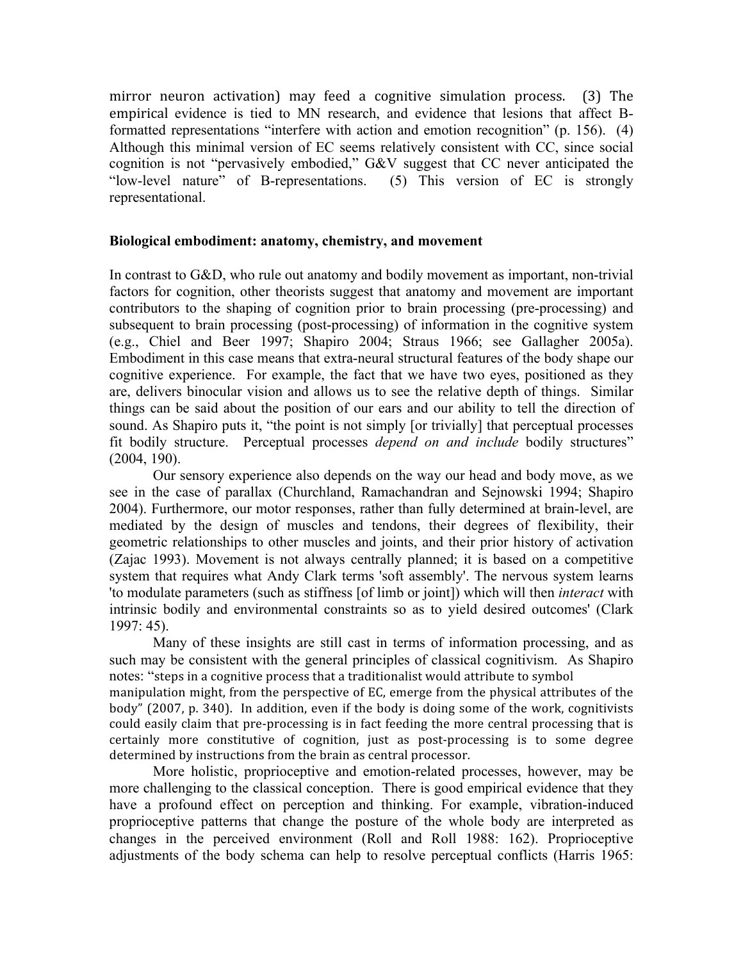mirror neuron activation) may feed a cognitive simulation process. (3) The empirical evidence is tied to MN research, and evidence that lesions that affect Bformatted representations "interfere with action and emotion recognition" (p. 156). (4) Although this minimal version of EC seems relatively consistent with CC, since social cognition is not "pervasively embodied," G&V suggest that CC never anticipated the "low-level nature" of B-representations. (5) This version of EC is strongly representational.

### **Biological embodiment: anatomy, chemistry, and movement**

In contrast to G&D, who rule out anatomy and bodily movement as important, non-trivial factors for cognition, other theorists suggest that anatomy and movement are important contributors to the shaping of cognition prior to brain processing (pre-processing) and subsequent to brain processing (post-processing) of information in the cognitive system (e.g., Chiel and Beer 1997; Shapiro 2004; Straus 1966; see Gallagher 2005a). Embodiment in this case means that extra-neural structural features of the body shape our cognitive experience. For example, the fact that we have two eyes, positioned as they are, delivers binocular vision and allows us to see the relative depth of things. Similar things can be said about the position of our ears and our ability to tell the direction of sound. As Shapiro puts it, "the point is not simply [or trivially] that perceptual processes fit bodily structure. Perceptual processes *depend on and include* bodily structures" (2004, 190).

Our sensory experience also depends on the way our head and body move, as we see in the case of parallax (Churchland, Ramachandran and Sejnowski 1994; Shapiro 2004). Furthermore, our motor responses, rather than fully determined at brain-level, are mediated by the design of muscles and tendons, their degrees of flexibility, their geometric relationships to other muscles and joints, and their prior history of activation (Zajac 1993). Movement is not always centrally planned; it is based on a competitive system that requires what Andy Clark terms 'soft assembly'. The nervous system learns 'to modulate parameters (such as stiffness [of limb or joint]) which will then *interact* with intrinsic bodily and environmental constraints so as to yield desired outcomes' (Clark 1997: 45).

Many of these insights are still cast in terms of information processing, and as such may be consistent with the general principles of classical cognitivism. As Shapiro notes: "steps in a cognitive process that a traditionalist would attribute to symbol

manipulation
might,
from
the
perspective
of
EC,
emerge
from
the
physical
attributes
of
the body"
(2007,
p.
340).

 In
addition,
even
if
 the
body
is
doing
some
of
 the
work,
cognitivists could easily claim that pre-processing is in fact feeding the more central processing that is certainly more constitutive of cognition, just as post-processing is to some degree determined by instructions from the brain as central processor.

More holistic, proprioceptive and emotion-related processes, however, may be more challenging to the classical conception. There is good empirical evidence that they have a profound effect on perception and thinking. For example, vibration-induced proprioceptive patterns that change the posture of the whole body are interpreted as changes in the perceived environment (Roll and Roll 1988: 162). Proprioceptive adjustments of the body schema can help to resolve perceptual conflicts (Harris 1965: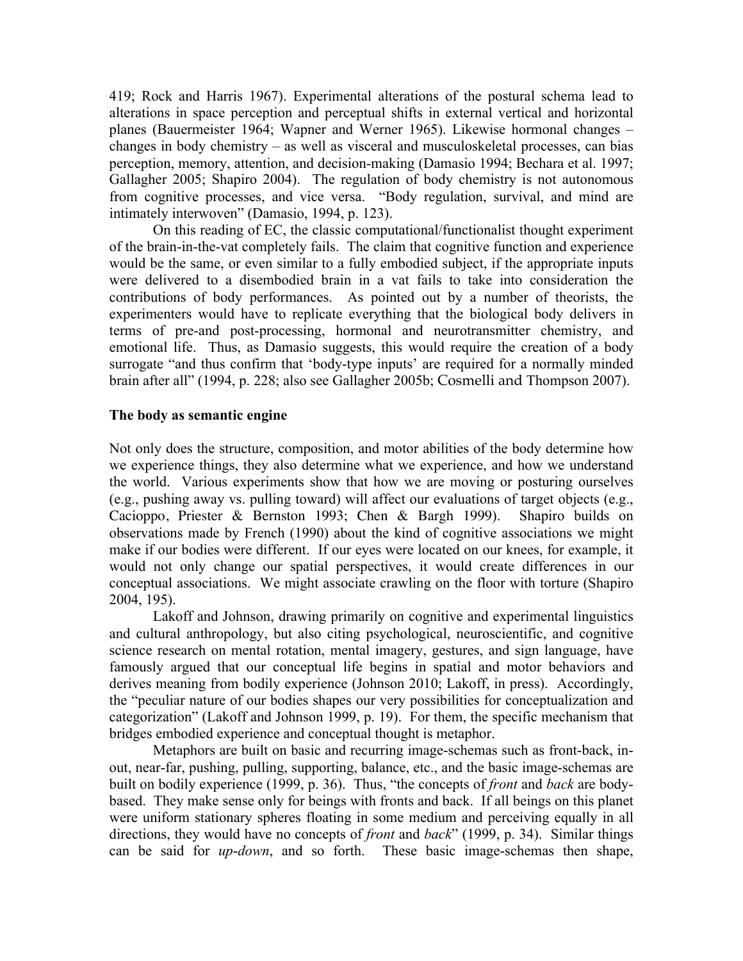419; Rock and Harris 1967). Experimental alterations of the postural schema lead to alterations in space perception and perceptual shifts in external vertical and horizontal planes (Bauermeister 1964; Wapner and Werner 1965). Likewise hormonal changes – changes in body chemistry – as well as visceral and musculoskeletal processes, can bias perception, memory, attention, and decision-making (Damasio 1994; Bechara et al. 1997; Gallagher 2005; Shapiro 2004). The regulation of body chemistry is not autonomous from cognitive processes, and vice versa. "Body regulation, survival, and mind are intimately interwoven" (Damasio, 1994, p. 123).

On this reading of EC, the classic computational/functionalist thought experiment of the brain-in-the-vat completely fails. The claim that cognitive function and experience would be the same, or even similar to a fully embodied subject, if the appropriate inputs were delivered to a disembodied brain in a vat fails to take into consideration the contributions of body performances. As pointed out by a number of theorists, the experimenters would have to replicate everything that the biological body delivers in terms of pre-and post-processing, hormonal and neurotransmitter chemistry, and emotional life. Thus, as Damasio suggests, this would require the creation of a body surrogate "and thus confirm that 'body-type inputs' are required for a normally minded brain after all" (1994, p. 228; also see Gallagher 2005b; Cosmelli and Thompson 2007).

### **The body as semantic engine**

Not only does the structure, composition, and motor abilities of the body determine how we experience things, they also determine what we experience, and how we understand the world. Various experiments show that how we are moving or posturing ourselves (e.g., pushing away vs. pulling toward) will affect our evaluations of target objects (e.g., Cacioppo, Priester & Bernston 1993; Chen & Bargh 1999). Shapiro builds on observations made by French (1990) about the kind of cognitive associations we might make if our bodies were different. If our eyes were located on our knees, for example, it would not only change our spatial perspectives, it would create differences in our conceptual associations. We might associate crawling on the floor with torture (Shapiro 2004, 195).

Lakoff and Johnson, drawing primarily on cognitive and experimental linguistics and cultural anthropology, but also citing psychological, neuroscientific, and cognitive science research on mental rotation, mental imagery, gestures, and sign language, have famously argued that our conceptual life begins in spatial and motor behaviors and derives meaning from bodily experience (Johnson 2010; Lakoff, in press). Accordingly, the "peculiar nature of our bodies shapes our very possibilities for conceptualization and categorization" (Lakoff and Johnson 1999, p. 19). For them, the specific mechanism that bridges embodied experience and conceptual thought is metaphor.

Metaphors are built on basic and recurring image-schemas such as front-back, inout, near-far, pushing, pulling, supporting, balance, etc., and the basic image-schemas are built on bodily experience (1999, p. 36). Thus, "the concepts of *front* and *back* are bodybased. They make sense only for beings with fronts and back. If all beings on this planet were uniform stationary spheres floating in some medium and perceiving equally in all directions, they would have no concepts of *front* and *back*" (1999, p. 34). Similar things can be said for *up*-*down*, and so forth. These basic image-schemas then shape,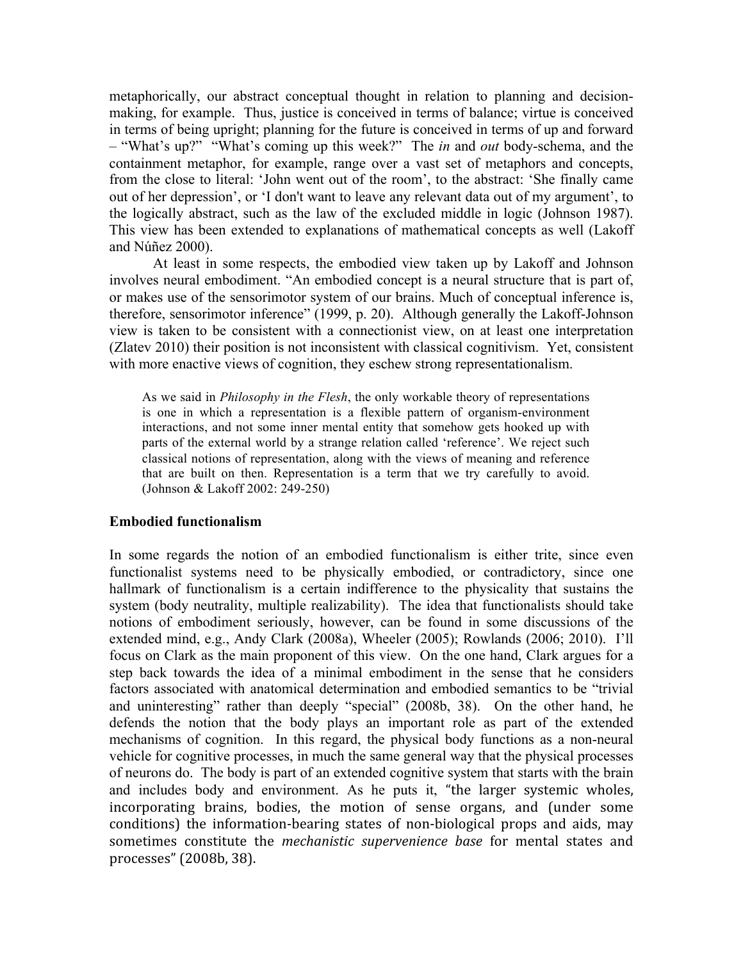metaphorically, our abstract conceptual thought in relation to planning and decisionmaking, for example. Thus, justice is conceived in terms of balance; virtue is conceived in terms of being upright; planning for the future is conceived in terms of up and forward – "What's up?" "What's coming up this week?" The *in* and *out* body-schema, and the containment metaphor, for example, range over a vast set of metaphors and concepts, from the close to literal: 'John went out of the room', to the abstract: 'She finally came out of her depression', or 'I don't want to leave any relevant data out of my argument', to the logically abstract, such as the law of the excluded middle in logic (Johnson 1987). This view has been extended to explanations of mathematical concepts as well (Lakoff and Núñez 2000).

At least in some respects, the embodied view taken up by Lakoff and Johnson involves neural embodiment. "An embodied concept is a neural structure that is part of, or makes use of the sensorimotor system of our brains. Much of conceptual inference is, therefore, sensorimotor inference" (1999, p. 20). Although generally the Lakoff-Johnson view is taken to be consistent with a connectionist view, on at least one interpretation (Zlatev 2010) their position is not inconsistent with classical cognitivism. Yet, consistent with more enactive views of cognition, they eschew strong representationalism.

As we said in *Philosophy in the Flesh*, the only workable theory of representations is one in which a representation is a flexible pattern of organism-environment interactions, and not some inner mental entity that somehow gets hooked up with parts of the external world by a strange relation called 'reference'. We reject such classical notions of representation, along with the views of meaning and reference that are built on then. Representation is a term that we try carefully to avoid. (Johnson & Lakoff 2002: 249-250)

# **Embodied functionalism**

In some regards the notion of an embodied functionalism is either trite, since even functionalist systems need to be physically embodied, or contradictory, since one hallmark of functionalism is a certain indifference to the physicality that sustains the system (body neutrality, multiple realizability). The idea that functionalists should take notions of embodiment seriously, however, can be found in some discussions of the extended mind, e.g., Andy Clark (2008a), Wheeler (2005); Rowlands (2006; 2010). I'll focus on Clark as the main proponent of this view. On the one hand, Clark argues for a step back towards the idea of a minimal embodiment in the sense that he considers factors associated with anatomical determination and embodied semantics to be "trivial and uninteresting" rather than deeply "special" (2008b, 38). On the other hand, he defends the notion that the body plays an important role as part of the extended mechanisms of cognition. In this regard, the physical body functions as a non-neural vehicle for cognitive processes, in much the same general way that the physical processes of neurons do. The body is part of an extended cognitive system that starts with the brain and includes body and environment. As he puts it, "the
 larger
 systemic
 wholes, incorporating brains, bodies, the motion of sense organs, and (under some conditions)
 the
 information‐bearing
 states
 of
 non‐biological
 props
 and
 aids,
 may sometimes constitute the *mechanistic supervenience base* for mental states and processes"
(2008b,
38).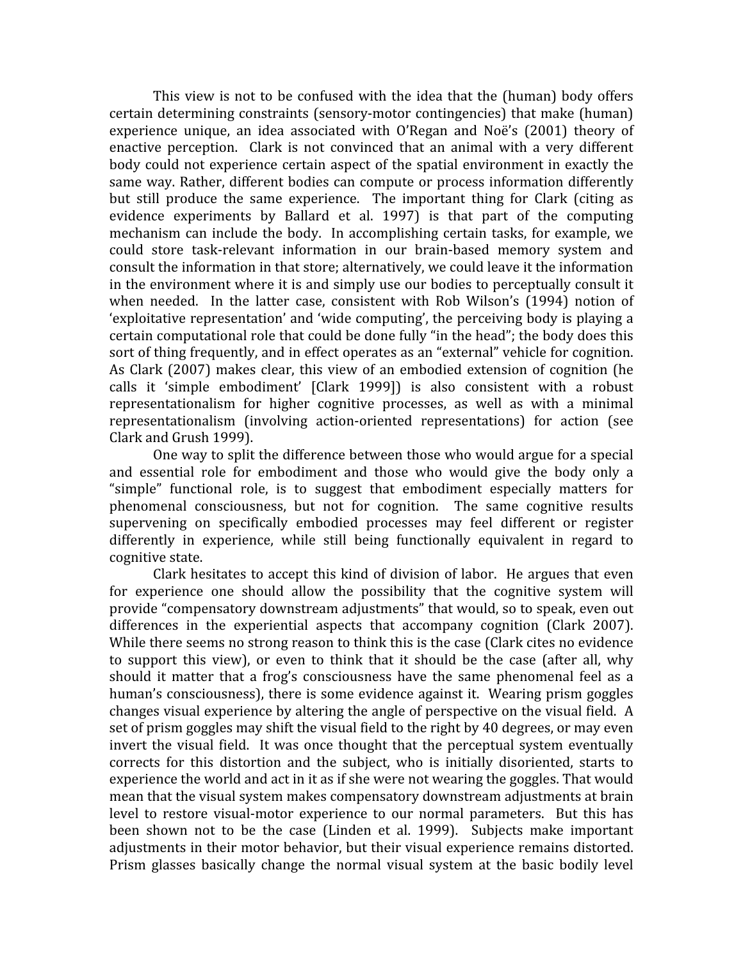This view is not to be confused with the idea that the (human) body offers certain determining constraints (sensory-motor contingencies) that make (human) experience unique, an idea associated with O'Regan and Noë's (2001) theory of enactive perception. Clark is not convinced that an animal with a very different body could not experience certain aspect of the spatial environment in exactly the same
way.
Rather,
different
bodies
can
compute
or
process
information
differently but still produce the same experience. The important thing for Clark (citing as evidence experiments by Ballard et al. 1997) is that part of the computing mechanism can include the body. In accomplishing certain tasks, for example, we could
 store
 task‐relevant
 information
 in
 our
 brain‐based
 memory
 system
 and consult the information in that store; alternatively, we could leave it the information in the environment where it is and simply use our bodies to perceptually consult it when needed. In the latter case, consistent with Rob Wilson's (1994) notion of 'exploitative representation' and 'wide computing', the perceiving body is playing a certain
computational
role
that
could
be
done
fully
"in
the
head";
the
body
does
this sort of thing frequently, and in effect operates as an "external" vehicle for cognition. As Clark (2007) makes clear, this view of an embodied extension of cognition (he calls it 'simple embodiment' [Clark 1999]) is also consistent with a robust representationalism for higher cognitive processes, as well as with a minimal representationalism (involving action-oriented representations) for action (see Clark
and
Grush
1999).

One way to split the difference between those who would argue for a special and essential role for embodiment and those who would give the body only a "simple" functional role, is to suggest that embodiment especially matters for phenomenal consciousness, but not for cognition. The same cognitive results supervening
 on
 specifically
 embodied
 processes
 may
 feel
 different
 or
 register differently in experience, while still being functionally equivalent in regard to cognitive
state.

Clark hesitates to accept this kind of division of labor. He argues that even for experience one should allow the possibility that the cognitive system will provide
"compensatory
downstream
adjustments"
that
would,
so
to
speak,
even
out differences in the experiential aspects that accompany cognition (Clark 2007). While there seems no strong reason to think this is the case (Clark cites no evidence to support this view), or even to think that it should be the case (after all, why should it matter that a frog's consciousness have the same phenomenal feel as a human's consciousness), there is some evidence against it. Wearing prism goggles changes visual experience by altering the angle of perspective on the visual field. A set of prism goggles may shift the visual field to the right by 40 degrees, or may even invert the visual field. It was once thought that the perceptual system eventually corrects for this distortion and the subject, who is initially disoriented, starts to experience
the
world
and
act
in
it
as
if
she
were
not
wearing
the
goggles.
That
would mean
that
the
visual
system
makes
compensatory
downstream
adjustments
at
brain level to restore visual-motor experience to our normal parameters. But this has been shown not to be the case (Linden et al. 1999). Subjects make important adjustments
in
their
motor
behavior,
but
their
visual
experience
remains
distorted. Prism glasses basically change the normal visual system at the basic bodily level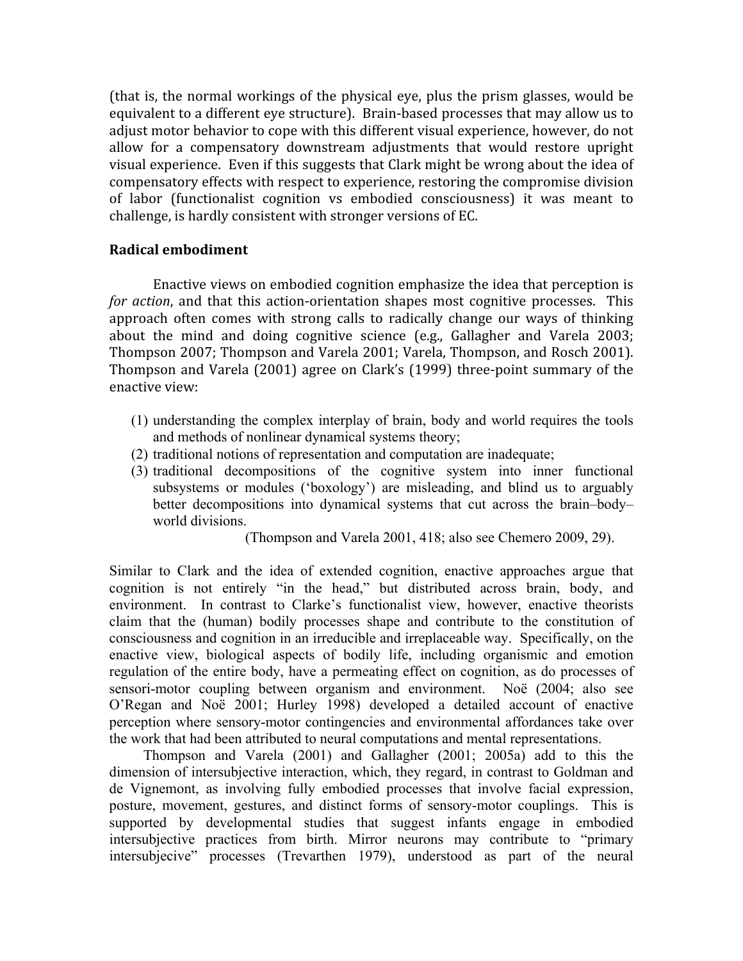(that
is,
 the
normal
workings
of
 the
physical
eye,
plus
 the
prism
glasses, would
be equivalent to a different eye structure). Brain-based processes that may allow us to adjust motor behavior to cope with this different visual experience, however, do not allow for a compensatory downstream adjustments that would restore upright visual experience. Even if this suggests that Clark might be wrong about the idea of compensatory
effects
with
respect
to
experience,
restoring
the
compromise
division of labor (functionalist cognition vs embodied consciousness) it was meant to challenge,
is
hardly
consistent
with
stronger
versions
of
EC.

# **Radical
embodiment**

Enactive
views
on
embodied
cognition
emphasize
the
idea
that
perception
is for action, and that this action-orientation shapes most cognitive processes. This approach often
 comes
 with
 strong
 calls
 to
 radically
 change
 our
 ways
 of
 thinking about the mind and doing cognitive science (e.g., Gallagher and Varela 2003; Thompson
2007;
Thompson
and
Varela
2001;
Varela,
Thompson,
and
Rosch
2001). Thompson and Varela (2001) agree on Clark's (1999) three-point summary of the enactive
view:

- (1) understanding the complex interplay of brain, body and world requires the tools and methods of nonlinear dynamical systems theory;
- (2) traditional notions of representation and computation are inadequate;
- (3) traditional decompositions of the cognitive system into inner functional subsystems or modules ('boxology') are misleading, and blind us to arguably better decompositions into dynamical systems that cut across the brain–body– world divisions.

(Thompson and Varela 2001, 418; also see Chemero 2009, 29).

Similar to Clark and the idea of extended cognition, enactive approaches argue that cognition is not entirely "in the head," but distributed across brain, body, and environment. In contrast to Clarke's functionalist view, however, enactive theorists claim that the (human) bodily processes shape and contribute to the constitution of consciousness and cognition in an irreducible and irreplaceable way. Specifically, on the enactive view, biological aspects of bodily life, including organismic and emotion regulation of the entire body, have a permeating effect on cognition, as do processes of sensori-motor coupling between organism and environment. Noë (2004; also see O'Regan and Noë 2001; Hurley 1998) developed a detailed account of enactive perception where sensory-motor contingencies and environmental affordances take over the work that had been attributed to neural computations and mental representations.

Thompson and Varela (2001) and Gallagher (2001; 2005a) add to this the dimension of intersubjective interaction, which, they regard, in contrast to Goldman and de Vignemont, as involving fully embodied processes that involve facial expression, posture, movement, gestures, and distinct forms of sensory-motor couplings. This is supported by developmental studies that suggest infants engage in embodied intersubjective practices from birth. Mirror neurons may contribute to "primary intersubjecive" processes (Trevarthen 1979), understood as part of the neural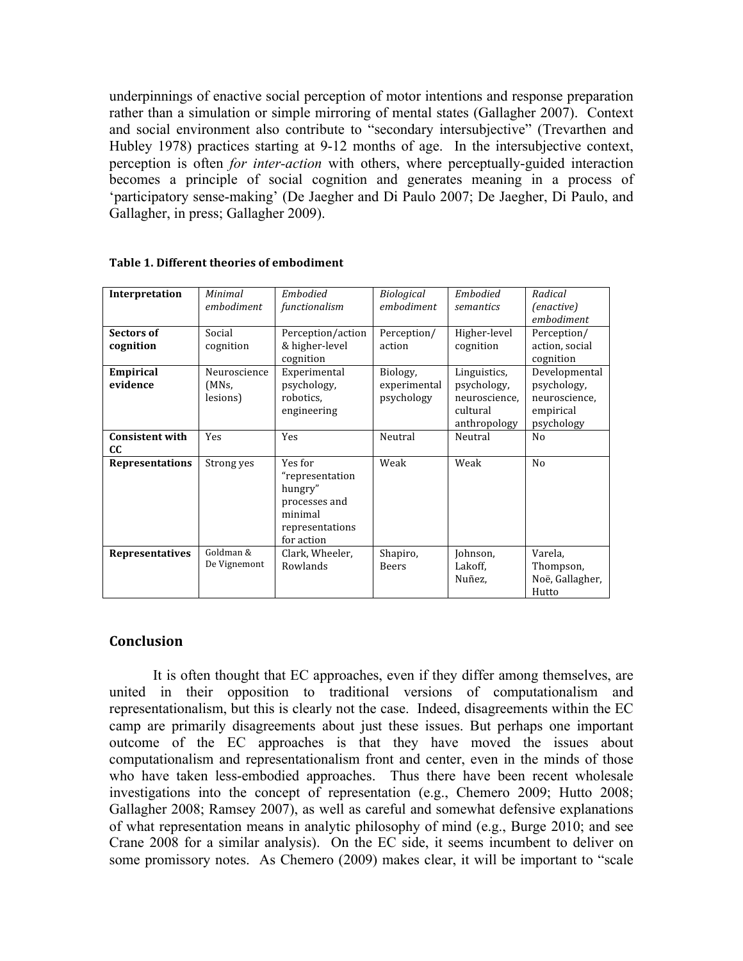underpinnings of enactive social perception of motor intentions and response preparation rather than a simulation or simple mirroring of mental states (Gallagher 2007). Context and social environment also contribute to "secondary intersubjective" (Trevarthen and Hubley 1978) practices starting at 9-12 months of age. In the intersubjective context, perception is often *for inter-action* with others, where perceptually-guided interaction becomes a principle of social cognition and generates meaning in a process of 'participatory sense-making' (De Jaegher and Di Paulo 2007; De Jaegher, Di Paulo, and Gallagher, in press; Gallagher 2009).

| Interpretation         | Minimal      | Embodied          | <b>Biological</b> | Embodied      | Radical                  |
|------------------------|--------------|-------------------|-------------------|---------------|--------------------------|
|                        | embodiment   | functionalism     | embodiment        | semantics     | (enactive)               |
|                        |              |                   |                   |               | embodiment               |
| Sectors of             | Social       | Perception/action | Perception/       | Higher-level  | Perception/              |
| cognition              | cognition    | & higher-level    | action            | cognition     | action, social           |
|                        |              | cognition         |                   |               | cognition                |
| Empirical              | Neuroscience | Experimental      | Biology,          | Linguistics,  | Developmental            |
| evidence               | (MNs,        | psychology,       | experimental      | psychology,   | psychology,              |
|                        | lesions)     | robotics.         | psychology        | neuroscience, | neuroscience,            |
|                        |              | engineering       |                   | cultural      | empirical                |
|                        |              |                   |                   | anthropology  | psychology               |
| <b>Consistent with</b> | Yes          | Yes               | Neutral           | Neutral       | No                       |
| <b>CC</b>              |              |                   |                   |               |                          |
| <b>Representations</b> | Strong yes   | Yes for           | Weak              | Weak          | N <sub>o</sub>           |
|                        |              | "representation   |                   |               |                          |
|                        |              | hungry"           |                   |               |                          |
|                        |              | processes and     |                   |               |                          |
|                        |              | minimal           |                   |               |                          |
|                        |              | representations   |                   |               |                          |
|                        |              | for action        |                   |               |                          |
| <b>Representatives</b> | Goldman &    | Clark, Wheeler,   | Shapiro,          | Johnson,      | Varela,                  |
|                        | De Vignemont | Rowlands          | <b>Beers</b>      | Lakoff,       | Thompson,                |
|                        |              |                   |                   |               |                          |
|                        |              |                   |                   |               |                          |
|                        |              |                   |                   | Nuñez,        | Noë, Gallagher,<br>Hutto |

**Table
1.
Different
theories
of
embodiment**

# **Conclusion**

It is often thought that EC approaches, even if they differ among themselves, are united in their opposition to traditional versions of computationalism and representationalism, but this is clearly not the case. Indeed, disagreements within the EC camp are primarily disagreements about just these issues. But perhaps one important outcome of the EC approaches is that they have moved the issues about computationalism and representationalism front and center, even in the minds of those who have taken less-embodied approaches. Thus there have been recent wholesale investigations into the concept of representation (e.g., Chemero 2009; Hutto 2008; Gallagher 2008; Ramsey 2007), as well as careful and somewhat defensive explanations of what representation means in analytic philosophy of mind (e.g., Burge 2010; and see Crane 2008 for a similar analysis). On the EC side, it seems incumbent to deliver on some promissory notes. As Chemero (2009) makes clear, it will be important to "scale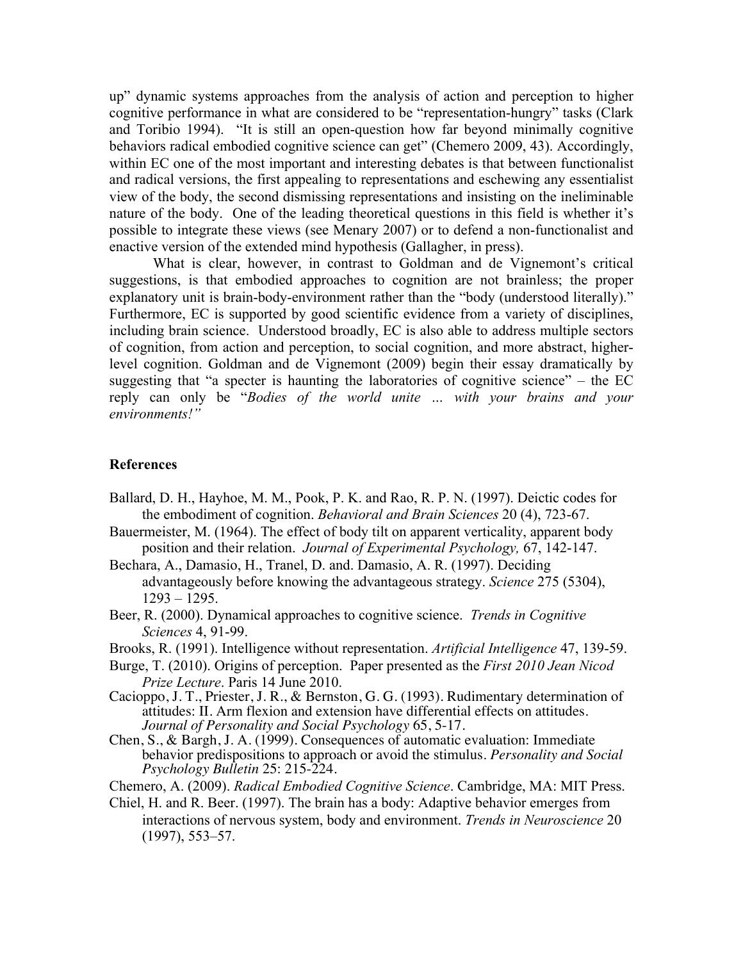up" dynamic systems approaches from the analysis of action and perception to higher cognitive performance in what are considered to be "representation-hungry" tasks (Clark and Toribio 1994). "It is still an open-question how far beyond minimally cognitive behaviors radical embodied cognitive science can get" (Chemero 2009, 43). Accordingly, within EC one of the most important and interesting debates is that between functionalist and radical versions, the first appealing to representations and eschewing any essentialist view of the body, the second dismissing representations and insisting on the ineliminable nature of the body. One of the leading theoretical questions in this field is whether it's possible to integrate these views (see Menary 2007) or to defend a non-functionalist and enactive version of the extended mind hypothesis (Gallagher, in press).

What is clear, however, in contrast to Goldman and de Vignemont's critical suggestions, is that embodied approaches to cognition are not brainless; the proper explanatory unit is brain-body-environment rather than the "body (understood literally)." Furthermore, EC is supported by good scientific evidence from a variety of disciplines, including brain science. Understood broadly, EC is also able to address multiple sectors of cognition, from action and perception, to social cognition, and more abstract, higherlevel cognition. Goldman and de Vignemont (2009) begin their essay dramatically by suggesting that "a specter is haunting the laboratories of cognitive science" – the  $EC$ reply can only be "*Bodies of the world unite … with your brains and your environments!"*

#### **References**

- Ballard, D. H., Hayhoe, M. M., Pook, P. K. and Rao, R. P. N. (1997). Deictic codes for the embodiment of cognition. *Behavioral and Brain Sciences* 20 (4), 723-67.
- Bauermeister, M. (1964). The effect of body tilt on apparent verticality, apparent body position and their relation. *Journal of Experimental Psychology,* 67, 142-147.
- Bechara, A., Damasio, H., Tranel, D. and. Damasio, A. R. (1997). Deciding advantageously before knowing the advantageous strategy. *Science* 275 (5304), 1293 – 1295.
- Beer, R. (2000). Dynamical approaches to cognitive science. *Trends in Cognitive Sciences* 4, 91-99.
- Brooks, R. (1991). Intelligence without representation. *Artificial Intelligence* 47, 139-59.
- Burge, T. (2010). Origins of perception.Paper presented as the *First 2010 Jean Nicod Prize Lecture*. Paris 14 June 2010.
- Cacioppo, J. T., Priester, J. R., & Bernston, G. G. (1993). Rudimentary determination of attitudes: II. Arm flexion and extension have differential effects on attitudes. *Journal of Personality and Social Psychology* 65, 5-17.
- Chen, S., & Bargh, J. A. (1999). Consequences of automatic evaluation: Immediate behavior predispositions to approach or avoid the stimulus. *Personality and Social Psychology Bulletin* 25: 215-224.
- Chemero, A. (2009). *Radical Embodied Cognitive Science*. Cambridge, MA: MIT Press.
- Chiel, H. and R. Beer. (1997). The brain has a body: Adaptive behavior emerges from interactions of nervous system, body and environment. *Trends in Neuroscience* 20 (1997), 553–57.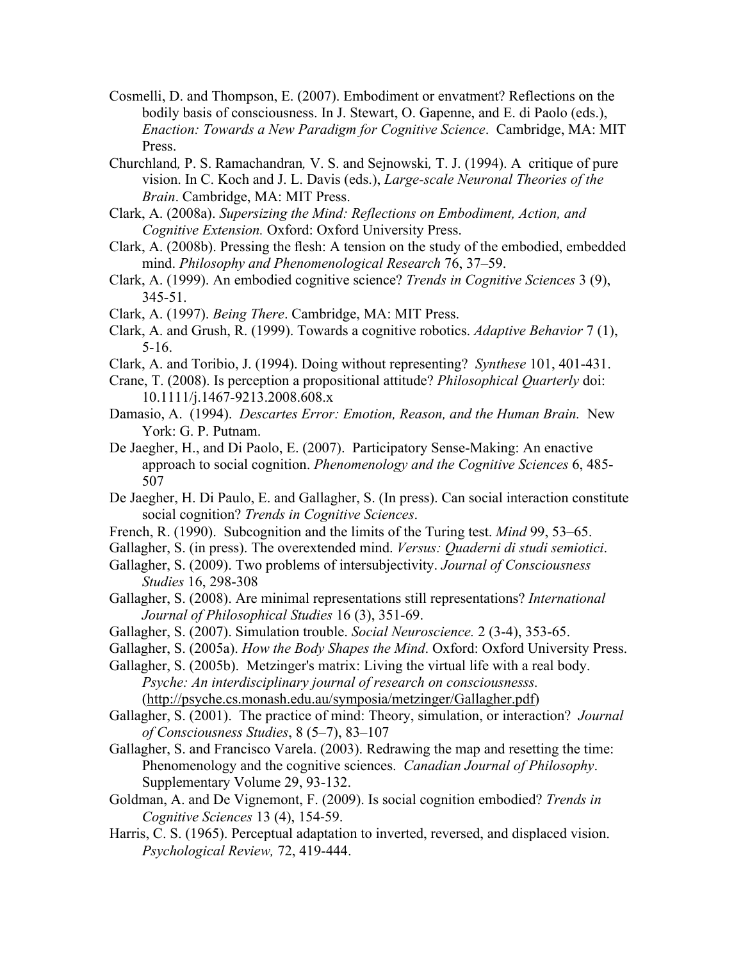- Cosmelli, D. and Thompson, E. (2007). Embodiment or envatment? Reflections on the bodily basis of consciousness. In J. Stewart, O. Gapenne, and E. di Paolo (eds.), *Enaction: Towards a New Paradigm for Cognitive Science*. Cambridge, MA: MIT Press.
- Churchland*,* P. S. Ramachandran*,* V. S. and Sejnowski*,* T. J. (1994). A critique of pure vision. In C. Koch and J. L. Davis (eds.), *Large-scale Neuronal Theories of the Brain*. Cambridge, MA: MIT Press.
- Clark, A. (2008a). *Supersizing the Mind: Reflections on Embodiment, Action, and Cognitive Extension.* Oxford: Oxford University Press.
- Clark, A. (2008b). Pressing the flesh: A tension on the study of the embodied, embedded mind. *Philosophy and Phenomenological Research* 76, 37–59.
- Clark, A. (1999). An embodied cognitive science? *Trends in Cognitive Sciences* 3 (9), 345-51.
- Clark, A. (1997). *Being There*. Cambridge, MA: MIT Press.
- Clark, A. and Grush, R. (1999). Towards a cognitive robotics. *Adaptive Behavior* 7 (1), 5-16.
- Clark, A. and Toribio, J. (1994). Doing without representing? *Synthese* 101, 401-431.
- Crane, T. (2008). Is perception a propositional attitude? *Philosophical Quarterly* doi: 10.1111/j.1467-9213.2008.608.x
- Damasio, A. (1994). *Descartes Error: Emotion, Reason, and the Human Brain.* New York: G. P. Putnam.
- De Jaegher, H., and Di Paolo, E. (2007). Participatory Sense-Making: An enactive approach to social cognition. *Phenomenology and the Cognitive Sciences* 6, 485- 507
- De Jaegher, H. Di Paulo, E. and Gallagher, S. (In press). Can social interaction constitute social cognition? *Trends in Cognitive Sciences*.
- French, R. (1990). Subcognition and the limits of the Turing test. *Mind* 99, 53–65.
- Gallagher, S. (in press). The overextended mind. *Versus: Quaderni di studi semiotici*.
- Gallagher, S. (2009). Two problems of intersubjectivity. *Journal of Consciousness Studies* 16, 298-308
- Gallagher, S. (2008). Are minimal representations still representations? *International Journal of Philosophical Studies* 16 (3), 351-69.
- Gallagher, S. (2007). Simulation trouble. *Social Neuroscience.* 2 (3-4), 353-65.
- Gallagher, S. (2005a). *How the Body Shapes the Mind*. Oxford: Oxford University Press.
- Gallagher, S. (2005b). Metzinger's matrix: Living the virtual life with a real body. *Psyche: An interdisciplinary journal of research on consciousnesss.* (http://psyche.cs.monash.edu.au/symposia/metzinger/Gallagher.pdf)
- Gallagher, S. (2001). The practice of mind: Theory, simulation, or interaction? *Journal of Consciousness Studies*, 8 (5–7), 83–107
- Gallagher, S. and Francisco Varela. (2003). Redrawing the map and resetting the time: Phenomenology and the cognitive sciences. *Canadian Journal of Philosophy*. Supplementary Volume 29, 93-132.
- Goldman, A. and De Vignemont, F. (2009). Is social cognition embodied? *Trends in Cognitive Sciences* 13 (4), 154‐59.
- Harris, C. S. (1965). Perceptual adaptation to inverted, reversed, and displaced vision. *Psychological Review,* 72, 419-444.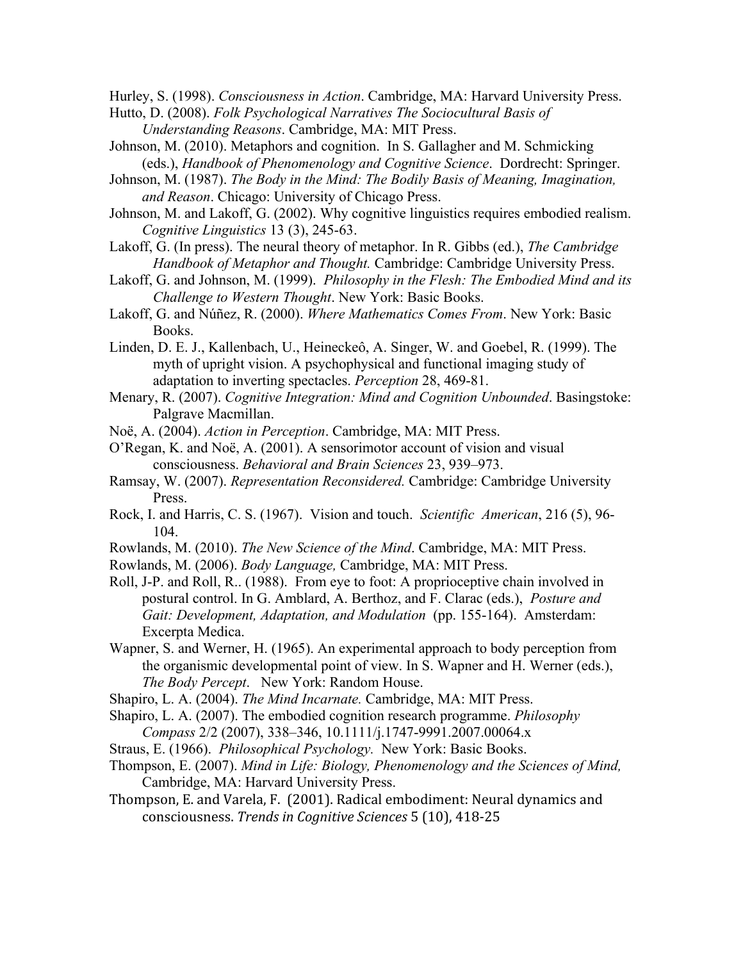Hurley, S. (1998). *Consciousness in Action*. Cambridge, MA: Harvard University Press.

- Hutto, D. (2008). *Folk Psychological Narratives The Sociocultural Basis of Understanding Reasons*. Cambridge, MA: MIT Press.
- Johnson, M. (2010). Metaphors and cognition. In S. Gallagher and M. Schmicking (eds.), *Handbook of Phenomenology and Cognitive Science*. Dordrecht: Springer.
- Johnson, M. (1987). *The Body in the Mind: The Bodily Basis of Meaning, Imagination, and Reason*. Chicago: University of Chicago Press.
- Johnson, M. and Lakoff, G. (2002). Why cognitive linguistics requires embodied realism. *Cognitive Linguistics* 13 (3), 245-63.
- Lakoff, G. (In press). The neural theory of metaphor. In R. Gibbs (ed.), *The Cambridge Handbook of Metaphor and Thought.* Cambridge: Cambridge University Press.
- Lakoff, G. and Johnson, M. (1999). *Philosophy in the Flesh: The Embodied Mind and its Challenge to Western Thought*. New York: Basic Books.
- Lakoff, G. and Núñez, R. (2000). *Where Mathematics Comes From*. New York: Basic Books.
- Linden, D. E. J., Kallenbach, U., Heineckeô, A. Singer, W. and Goebel, R. (1999). The myth of upright vision. A psychophysical and functional imaging study of adaptation to inverting spectacles. *Perception* 28, 469-81.
- Menary, R. (2007). *Cognitive Integration: Mind and Cognition Unbounded*. Basingstoke: Palgrave Macmillan.
- Noë, A. (2004). *Action in Perception*. Cambridge, MA: MIT Press.
- O'Regan, K. and Noë, A. (2001). A sensorimotor account of vision and visual consciousness. *Behavioral and Brain Sciences* 23, 939–973.
- Ramsay, W. (2007). *Representation Reconsidered.* Cambridge: Cambridge University Press.
- Rock, I. and Harris, C. S. (1967). Vision and touch. *Scientific American*, 216 (5), 96- 104.
- Rowlands, M. (2010). *The New Science of the Mind*. Cambridge, MA: MIT Press.
- Rowlands, M. (2006). *Body Language,* Cambridge, MA: MIT Press.
- Roll, J-P. and Roll, R.. (1988). From eye to foot: A proprioceptive chain involved in postural control. In G. Amblard, A. Berthoz, and F. Clarac (eds.), *Posture and Gait: Development, Adaptation, and Modulation* (pp. 155-164). Amsterdam: Excerpta Medica.
- Wapner, S. and Werner, H. (1965). An experimental approach to body perception from the organismic developmental point of view. In S. Wapner and H. Werner (eds.), *The Body Percept*. New York: Random House.
- Shapiro, L. A. (2004). *The Mind Incarnate.* Cambridge, MA: MIT Press.
- Shapiro, L. A. (2007). The embodied cognition research programme. *Philosophy Compass* 2/2 (2007), 338–346, 10.1111/j.1747-9991.2007.00064.x
- Straus, E. (1966). *Philosophical Psychology.* New York: Basic Books.
- Thompson, E. (2007). *Mind in Life: Biology, Phenomenology and the Sciences of Mind,*  Cambridge, MA: Harvard University Press.
- Thompson,
E.
and
Varela,
F.

(2001).
Radical
embodiment:
Neural
dynamics
and consciousness. *Trends
in
Cognitive
Sciences*5
(10),
418‐25